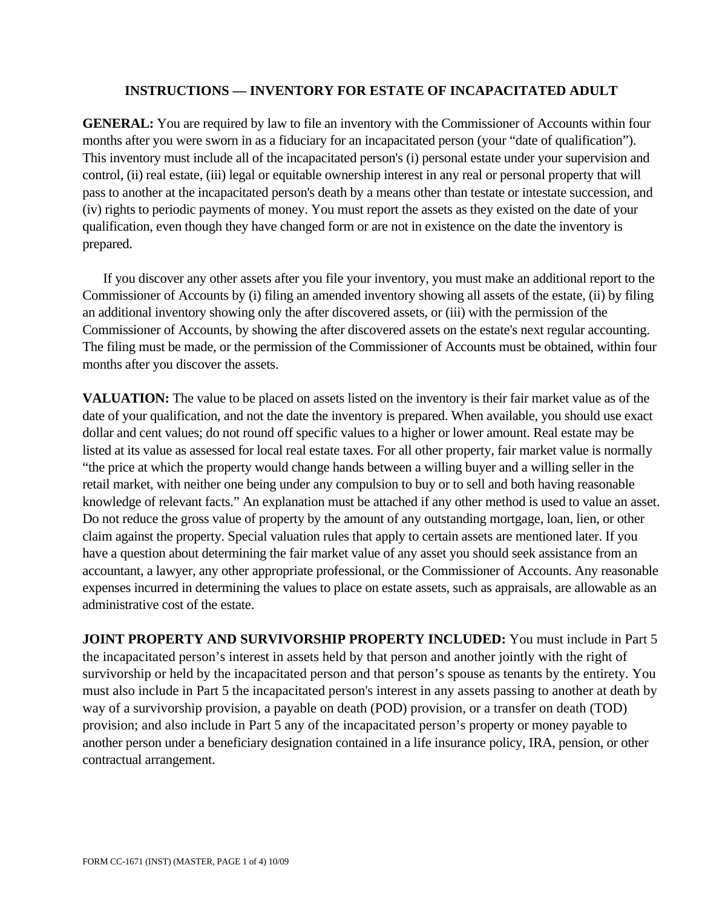## **INSTRUCTIONS — INVENTORY FOR ESTATE OF INCAPACITATED ADULT**

**GENERAL:** You are required by law to file an inventory with the Commissioner of Accounts within four months after you were sworn in as a fiduciary for an incapacitated person (your "date of qualification"). This inventory must include all of the incapacitated person's (i) personal estate under your supervision and control, (ii) real estate, (iii) legal or equitable ownership interest in any real or personal property that will pass to another at the incapacitated person's death by a means other than testate or intestate succession, and (iv) rights to periodic payments of money. You must report the assets as they existed on the date of your qualification, even though they have changed form or are not in existence on the date the inventory is prepared.

If you discover any other assets after you file your inventory, you must make an additional report to the Commissioner of Accounts by (i) filing an amended inventory showing all assets of the estate, (ii) by filing an additional inventory showing only the after discovered assets, or (iii) with the permission of the Commissioner of Accounts, by showing the after discovered assets on the estate's next regular accounting. The filing must be made, or the permission of the Commissioner of Accounts must be obtained, within four months after you discover the assets.

**VALUATION:** The value to be placed on assets listed on the inventory is their fair market value as of the date of your qualification, and not the date the inventory is prepared. When available, you should use exact dollar and cent values; do not round off specific values to a higher or lower amount. Real estate may be listed at its value as assessed for local real estate taxes. For all other property, fair market value is normally "the price at which the property would change hands between a willing buyer and a willing seller in the retail market, with neither one being under any compulsion to buy or to sell and both having reasonable knowledge of relevant facts." An explanation must be attached if any other method is used to value an asset. Do not reduce the gross value of property by the amount of any outstanding mortgage, loan, lien, or other claim against the property. Special valuation rules that apply to certain assets are mentioned later. If you have a question about determining the fair market value of any asset you should seek assistance from an accountant, a lawyer, any other appropriate professional, or the Commissioner of Accounts. Any reasonable expenses incurred in determining the values to place on estate assets, such as appraisals, are allowable as an administrative cost of the estate.

**JOINT PROPERTY AND SURVIVORSHIP PROPERTY INCLUDED:** You must include in Part 5 the incapacitated person's interest in assets held by that person and another jointly with the right of survivorship or held by the incapacitated person and that person's spouse as tenants by the entirety. You must also include in Part 5 the incapacitated person's interest in any assets passing to another at death by way of a survivorship provision, a payable on death (POD) provision, or a transfer on death (TOD) provision; and also include in Part 5 any of the incapacitated person's property or money payable to another person under a beneficiary designation contained in a life insurance policy, IRA, pension, or other contractual arrangement.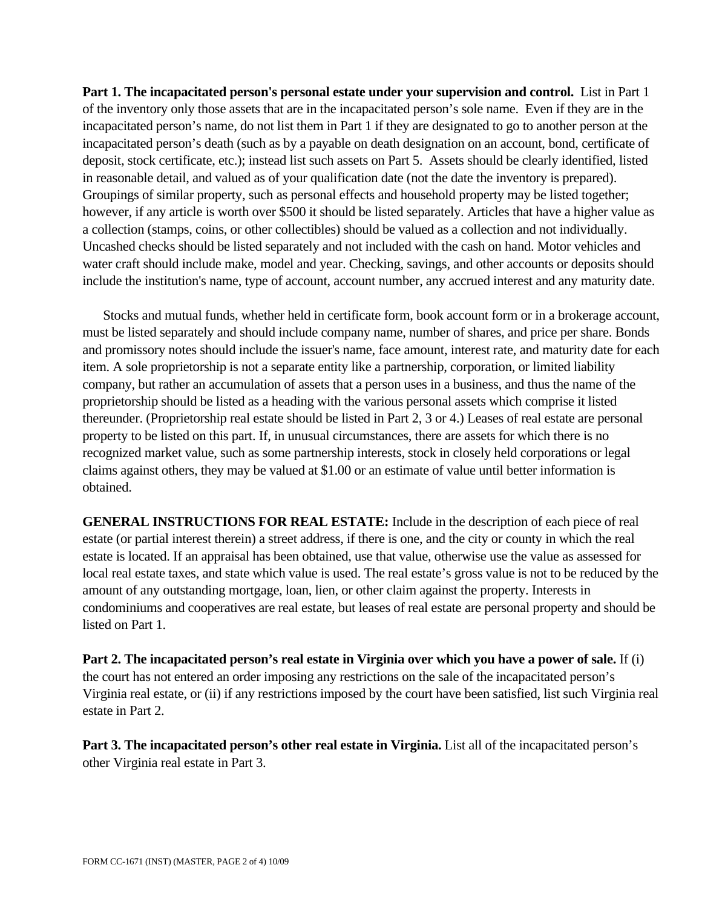**Part 1. The incapacitated person's personal estate under your supervision and control.** List in Part 1 of the inventory only those assets that are in the incapacitated person's sole name. Even if they are in the incapacitated person's name, do not list them in Part 1 if they are designated to go to another person at the incapacitated person's death (such as by a payable on death designation on an account, bond, certificate of deposit, stock certificate, etc.); instead list such assets on Part 5. Assets should be clearly identified, listed in reasonable detail, and valued as of your qualification date (not the date the inventory is prepared). Groupings of similar property, such as personal effects and household property may be listed together; however, if any article is worth over \$500 it should be listed separately. Articles that have a higher value as a collection (stamps, coins, or other collectibles) should be valued as a collection and not individually. Uncashed checks should be listed separately and not included with the cash on hand. Motor vehicles and water craft should include make, model and year. Checking, savings, and other accounts or deposits should include the institution's name, type of account, account number, any accrued interest and any maturity date.

Stocks and mutual funds, whether held in certificate form, book account form or in a brokerage account, must be listed separately and should include company name, number of shares, and price per share. Bonds and promissory notes should include the issuer's name, face amount, interest rate, and maturity date for each item. A sole proprietorship is not a separate entity like a partnership, corporation, or limited liability company, but rather an accumulation of assets that a person uses in a business, and thus the name of the proprietorship should be listed as a heading with the various personal assets which comprise it listed thereunder. (Proprietorship real estate should be listed in Part 2, 3 or 4.) Leases of real estate are personal property to be listed on this part. If, in unusual circumstances, there are assets for which there is no recognized market value, such as some partnership interests, stock in closely held corporations or legal claims against others, they may be valued at \$1.00 or an estimate of value until better information is obtained.

**GENERAL INSTRUCTIONS FOR REAL ESTATE:** Include in the description of each piece of real estate (or partial interest therein) a street address, if there is one, and the city or county in which the real estate is located. If an appraisal has been obtained, use that value, otherwise use the value as assessed for local real estate taxes, and state which value is used. The real estate's gross value is not to be reduced by the amount of any outstanding mortgage, loan, lien, or other claim against the property. Interests in condominiums and cooperatives are real estate, but leases of real estate are personal property and should be listed on Part 1.

**Part 2. The incapacitated person's real estate in Virginia over which you have a power of sale.** If (i) the court has not entered an order imposing any restrictions on the sale of the incapacitated person's Virginia real estate, or (ii) if any restrictions imposed by the court have been satisfied, list such Virginia real estate in Part 2.

**Part 3. The incapacitated person's other real estate in Virginia.** List all of the incapacitated person's other Virginia real estate in Part 3.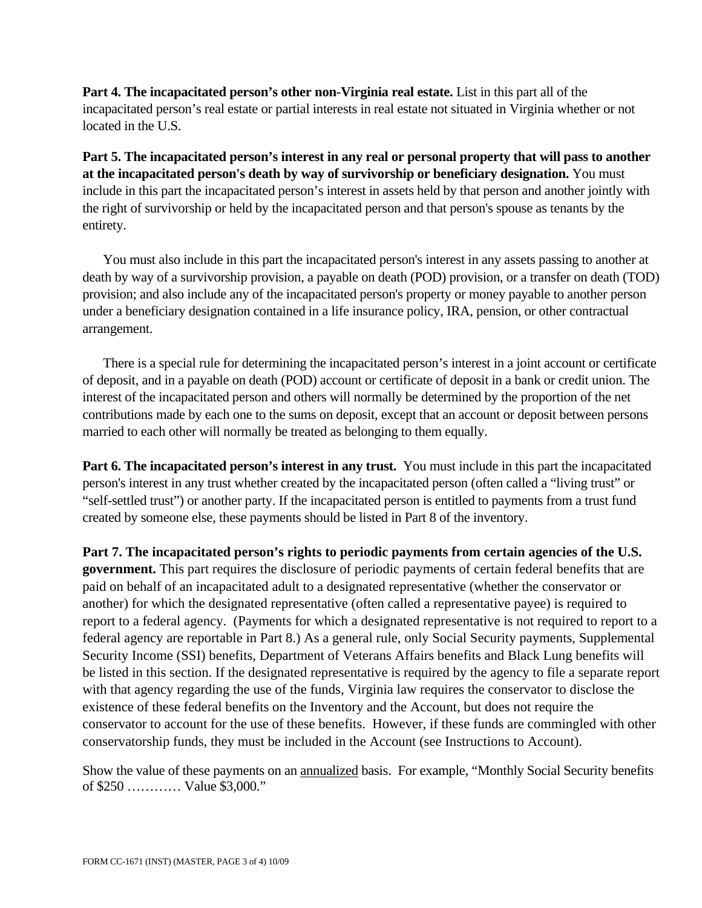**Part 4. The incapacitated person's other non-Virginia real estate.** List in this part all of the incapacitated person's real estate or partial interests in real estate not situated in Virginia whether or not located in the U.S.

**Part 5. The incapacitated person's interest in any real or personal property that will pass to another at the incapacitated person's death by way of survivorship or beneficiary designation.** You must include in this part the incapacitated person's interest in assets held by that person and another jointly with the right of survivorship or held by the incapacitated person and that person's spouse as tenants by the entirety.

You must also include in this part the incapacitated person's interest in any assets passing to another at death by way of a survivorship provision, a payable on death (POD) provision, or a transfer on death (TOD) provision; and also include any of the incapacitated person's property or money payable to another person under a beneficiary designation contained in a life insurance policy, IRA, pension, or other contractual arrangement.

There is a special rule for determining the incapacitated person's interest in a joint account or certificate of deposit, and in a payable on death (POD) account or certificate of deposit in a bank or credit union. The interest of the incapacitated person and others will normally be determined by the proportion of the net contributions made by each one to the sums on deposit, except that an account or deposit between persons married to each other will normally be treated as belonging to them equally.

**Part 6. The incapacitated person's interest in any trust.** You must include in this part the incapacitated person's interest in any trust whether created by the incapacitated person (often called a "living trust" or "self-settled trust") or another party. If the incapacitated person is entitled to payments from a trust fund created by someone else, these payments should be listed in Part 8 of the inventory.

Part 7. The incapacitated person's rights to periodic payments from certain agencies of the U.S. **government.** This part requires the disclosure of periodic payments of certain federal benefits that are paid on behalf of an incapacitated adult to a designated representative (whether the conservator or another) for which the designated representative (often called a representative payee) is required to report to a federal agency. (Payments for which a designated representative is not required to report to a federal agency are reportable in Part 8.) As a general rule, only Social Security payments, Supplemental Security Income (SSI) benefits, Department of Veterans Affairs benefits and Black Lung benefits will be listed in this section. If the designated representative is required by the agency to file a separate report with that agency regarding the use of the funds, Virginia law requires the conservator to disclose the existence of these federal benefits on the Inventory and the Account, but does not require the conservator to account for the use of these benefits. However, if these funds are commingled with other conservatorship funds, they must be included in the Account (see Instructions to Account).

Show the value of these payments on an annualized basis. For example, "Monthly Social Security benefits of \$250 ………… Value \$3,000."